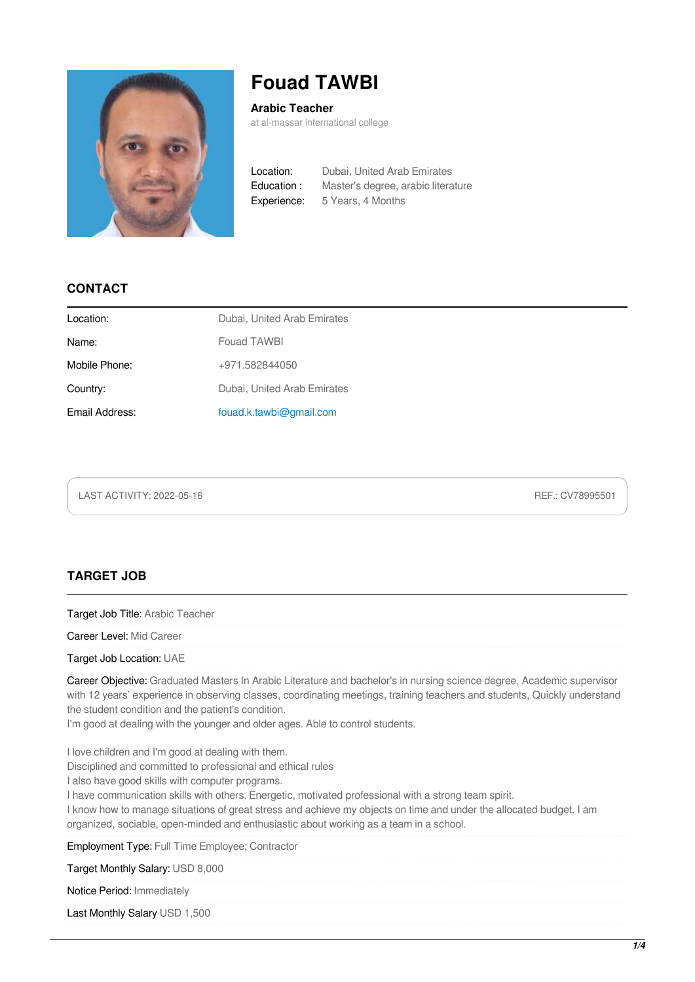

# **Fouad TAWBI**

**Arabic Teacher**

at al-massar international college

Location: Dubai, United Arab Emirates Education : Master's degree, arabic literature Experience: 5 Years, 4 Months

### **CONTACT**

| Dubai, United Arab Emirates |
|-----------------------------|
| Fouad TAWBI                 |
| +971.582844050              |
| Dubai, United Arab Emirates |
| fouad.k.tawbi@gmail.com     |
|                             |

LAST ACTIVITY: 2022-05-16 REF.: CV78995501

### **TARGET JOB**

Target Job Title: Arabic Teacher

Career Level: Mid Career

Target Job Location: UAE

Career Objective: Graduated Masters In Arabic Literature and bachelor's in nursing science degree, Academic supervisor with 12 years' experience in observing classes, coordinating meetings, training teachers and students, Quickly understand the student condition and the patient's condition.

I'm good at dealing with the younger and older ages. Able to control students.

I love children and I'm good at dealing with them.

Disciplined and committed to professional and ethical rules

I also have good skills with computer programs.

I have communication skills with others. Energetic, motivated professional with a strong team spirit.

I know how to manage situations of great stress and achieve my objects on time and under the allocated budget. I am organized, sociable, open-minded and enthusiastic about working as a team in a school.

Employment Type: Full Time Employee; Contractor

Target Monthly Salary: USD 8,000

Notice Period: Immediately

Last Monthly Salary USD 1,500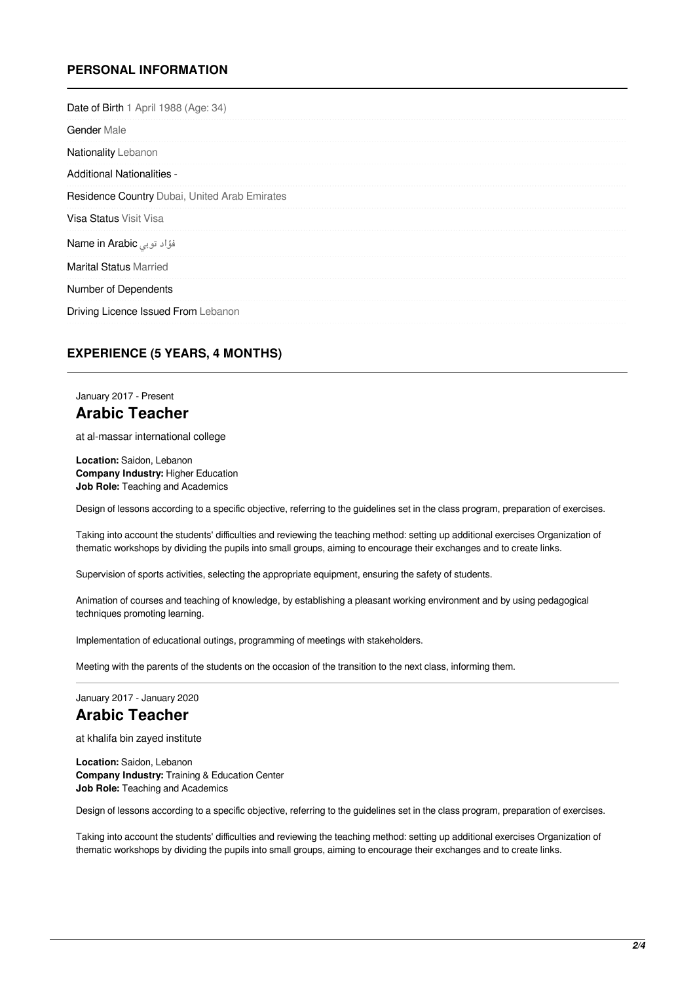### **PERSONAL INFORMATION**

| Date of Birth 1 April 1988 (Age: 34)          |                               |
|-----------------------------------------------|-------------------------------|
|                                               | <b>Gender Male</b>            |
|                                               | <b>Nationality Lebanon</b>    |
|                                               | Additional Nationalities -    |
| Residence Country Dubai, United Arab Emirates |                               |
|                                               | <b>Visa Status Visit Visa</b> |
|                                               | فؤاد توبی Name in Arabic      |
|                                               | <b>Marital Status Married</b> |
|                                               | Number of Dependents          |
| Driving Licence Issued From Lebanon           |                               |

### **EXPERIENCE (5 YEARS, 4 MONTHS)**

### January 2017 - Present **Arabic Teacher**

at al-massar international college

**Location:** Saidon, Lebanon **Company Industry:** Higher Education **Job Role:** Teaching and Academics

Design of lessons according to a specific objective, referring to the guidelines set in the class program, preparation of exercises.

Taking into account the students' difficulties and reviewing the teaching method: setting up additional exercises Organization of thematic workshops by dividing the pupils into small groups, aiming to encourage their exchanges and to create links.

Supervision of sports activities, selecting the appropriate equipment, ensuring the safety of students.

Animation of courses and teaching of knowledge, by establishing a pleasant working environment and by using pedagogical techniques promoting learning.

Implementation of educational outings, programming of meetings with stakeholders.

Meeting with the parents of the students on the occasion of the transition to the next class, informing them.

January 2017 - January 2020

### **Arabic Teacher**

at khalifa bin zayed institute

**Location:** Saidon, Lebanon **Company Industry:** Training & Education Center **Job Role:** Teaching and Academics

Design of lessons according to a specific objective, referring to the guidelines set in the class program, preparation of exercises.

Taking into account the students' difficulties and reviewing the teaching method: setting up additional exercises Organization of thematic workshops by dividing the pupils into small groups, aiming to encourage their exchanges and to create links.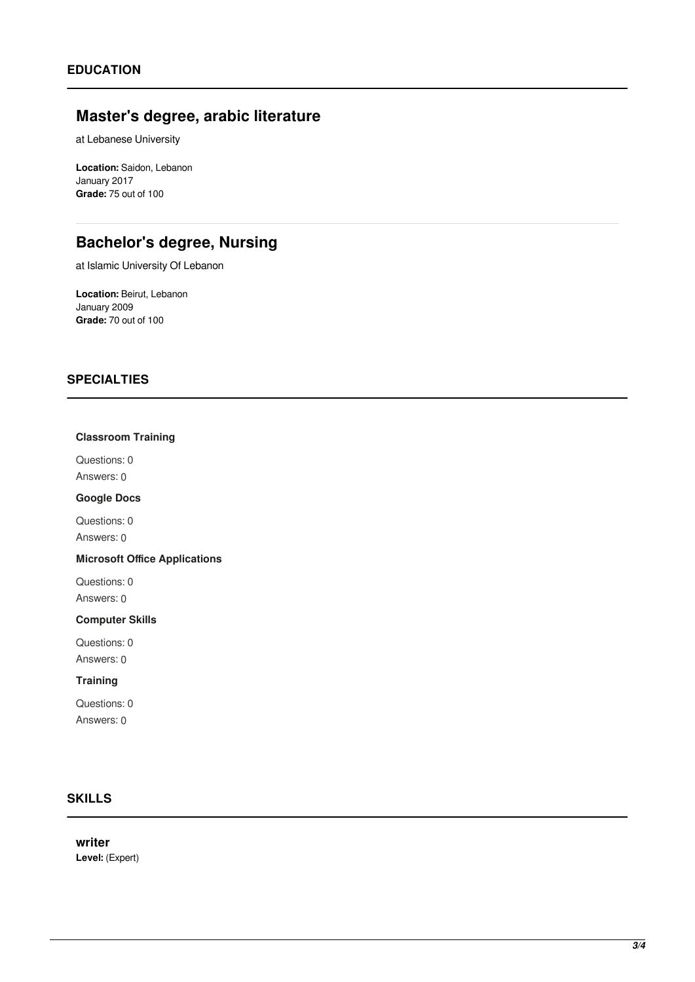# **Master's degree, arabic literature**

at Lebanese University

**Location:** Saidon, Lebanon January 2017 **Grade:** 75 out of 100

# **Bachelor's degree, Nursing**

at Islamic University Of Lebanon

**Location:** Beirut, Lebanon January 2009 **Grade:** 70 out of 100

### **SPECIALTIES**

#### **Classroom Training**

Questions: 0 Answers: 0

#### **Google Docs**

Questions: 0 Answers: 0

#### **Microsoft Office Applications**

Questions: 0 Answers: 0

#### **Computer Skills**

Questions: 0 Answers: 0

#### **Training**

Questions: 0 Answers: 0

### **SKILLS**

**writer Level:** (Expert)